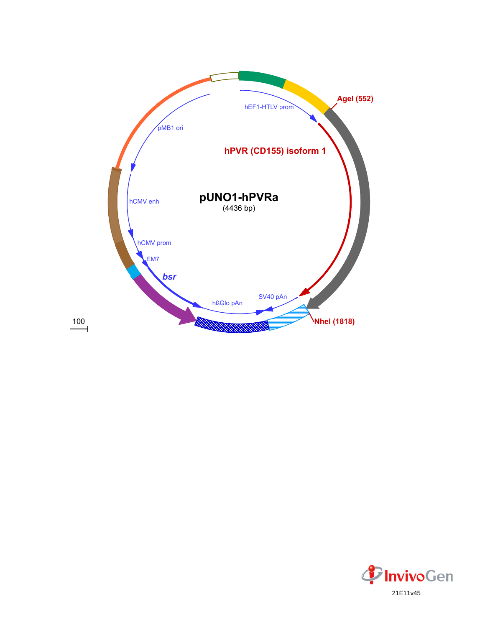

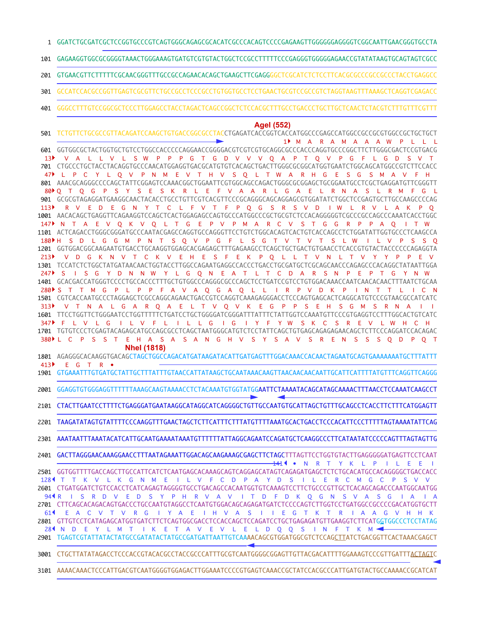GGATCTGCGATCGCTCCGGTGCCCGTCAGTGGGCAGAGCGCACATCGCCCACAGTCCCCGAGAAGTTGGGGGGAGGGGTCGGCAATTGAACGGGTGCCTA 1

GAGAAGGTGGCGCGGGGTAAACTGGGAAAGTGATGTCGTGTACTGGCTCCGCCTTTTTCCCGAGGGTGGGGGAGAACCGTATATAAGTGCAGTAGTCGCC 101

GTGAACGTTCTTTTTCGCAACGGGTTTGCCGCCAGAACACAGCTGAAGCTTCGAGGGGCTCGCATCTCTCCTTCACGCGCCCGCCGCCCTACCTGAGGCC 201

- GCCATCCACGCCGGTTGAGTCGCGTTCTGCCGCCTCCCGCCTGTGGTGCCTCCTGAACTGCGTCCGCCGTCTAGGTAAGTTTAAAGCTCAGGTCGAGACC 301
- GGGCCTTTGTCCGGCGCTCCCTTGGAGCCTACCTAGACTCAGCCGGCTCTCCACGCTTTGCCTGACCCTGCTTGCTCAACTCTACGTCTTTGTTTCGTTT 401

## **AgeI (552)**

TCTGTTCTGCGCCGTTACAGATCCAAGCTGTGACCGGCGCCTACCTGAGATCACCGGTCACCATGGCCCGAGCCATGGCCGCCGCGTGGCCGCTGCTGCT GGTGGCGCTACTGGTGCTGTCCTGGCCACCCCCAGGAACCGGGGACGTCGTCGTGCAGGCGCCCACCCAGGTGCCCGGCTTCTTGGGCGACTCCGTGACG 601 701 CTGCCCTGCTACCTACAGGTGCCCAACATGGAGGTGACGCATGTGTCACAGCTGACTTGGGCGCGGCATGGTGAATCTGGCAGCATGGCCGTCTTCCACC AAACGCAGGGCCCCAGCTATTCGGAGTCCAAACGGCTGGAATTCGTGGCAGCCAGACTGGGCGCGGAGCTGCGGAATGCCTCGCTGAGGATGTTCGGGTT 801 GCGCGTAGAGGATGAAGGCAACTACACCTGCCTGTTCGTCACGTTCCCGCAGGGCAGCAGGAGCGTGGATATCTGGCTCCGAGTGCTTGCCAAGCCCCAG 901 AACACAGCTGAGGTTCAGAAGGTCCAGCTCACTGGAGAGCCAGTGCCCATGGCCCGCTGCGTCTCCACAGGGGGTCGCCCGCCAGCCCAAATCACCTGGC 1001 1101 ACTCAGACCTGGGCGGGATGCCCAATACGAGCCAGGTGCCAGGGTTCCTGTCTGGCACAGTCACTGTCACCAGCCTCTGGATATTGGTGCCCTCAAGCCA GGTGGACGGCAAGAATGTGACCTGCAAGGTGGAGCACGAGAGCTTTGAGAAGCCTCAGCTGCTGACTGTGAACCTCACCGTGTACTACCCCCCAGAGGTA 1201 1301 TCCATCTCTGGCTATGATAACAACTGGTACCTTGGCCAGAATGAGGCCACCCTGACCTGCGATGCTCGCAGCAACCCAGAGCCCACAGGCTATAATTGGA GCACGACCATGGGTCCCCTGCCACCCTTTGCTGTGGCCCAGGGCGCCCAGCTCCTGATCCGTCCTGTGGACAAACCAATCAACACAACTTTAATCTGCAA 1401 CGTCACCAATGCCCTAGGAGCTCGCCAGGCAGAACTGACCGTCCAGGTCAAAGAGGGACCTCCCAGTGAGCACTCAGGCATGTCCCGTAACGCCATCATC 1501 TTCCTGGTTCTGGGAATCCTGGTTTTTCTGATCCTGCTGGGGATCGGGATTTATTTCTATTGGTCCAAATGTTCCCGTGAGGTCCTTTGGCACTGTCATC 1601 TGTGTCCCTCGAGTACAGAGCATGCCAGCGCCTCAGCTAATGGGCATGTCTCCTATTCAGCTGTGAGCAGAGAGAACAGCTCTTCCCAGGATCCACAGAC 1701 AGAGGGCACAAGGTGACAGCTAGCTGGCCAGACATGATAAGATACATTGATGAGTTTGGACAAACCACAACTAGAATGCAGTGAAAAAAATGCTTTATTT 1801 GTGAAATTTGTGATGCTATTGCTTTATTTGTAACCATTATAAGCTGCAATAAACAAGTTAACAACAACAATTGCATTCATTTTATGTTTCAGGTTCAGGG 1901 2001 GGAGGTGTGGGAGGTTTTTTTAAAGCAAGTAAAACCTCTACAAATGTGGTATGG**AATTCTAAAATACAGCATAGCAAAACTTTAACCTCCAAATCAAGCCT** 2101 CTACTTGAATCCTTTTCTGAGGGATGAATAAGGCATAGGCATCAGGGGCTGTTGCCAATGTGCATTAGCTGTTTGCAGCCTCACCTTCTTTCATGGAGTT 2201 TAAGATATAGTGTATTTTCCCAAGGTTTGAACTAGCTCTTCATTTCTTTATGTTTTAAATGCACTGACCTCCCACATTCCCTTTTTAGTAAAATATTCAG 2301 AAATAATTTAAATACATCATTGCAATGAAAATAAATGTTTTTTATTAGGCAGAATCCAGATGCTCAAGGCCCTTCATAATATCCCCCAGTTTAGTAGTTG GACTTAGGGAACAAAGGAACCTTTAATAGAAATTGGACAGCAAGAAAGCGAGCTTCTAGCTTTAGTTCCTGGTGTACTTGAGGGGGATGAGTTCCTCAAT 2401 • N R T Y K L P I L E E I 141 M A R A M A A A W P L L L 1 V A L L V L S W P P P G T G D V V V O A P T O V P G F L G D S V Y L Q V P N M E V T H V S Q L T W A R H G E S G S M A V F H Q T Q G P S Y S E S K R L E F V A A R L G A E L R N A S L R M F G L 80 R V E D E G N Y T C L F V T F P Q G S R S V D I W L R V L A K P Q 113 147 N T A E V Q K V Q L T G E P V P M A R C V S T G G R P P A Q I T W 180 H S D L G G M P N T S Q V P G F L S G T V T V T S L W I L V P S S Q V D G K N V T C K V E H E S F E K P Q L L T V N L T V Y Y P P E V 247ÞS I SGYDNNWYL GQN E A T L T C D A R S N P E P T GYNW 280 PST T M G P L P P F A V A Q G A Q L L I R P V D K P I N T T L I C N V T N A L G A R Q A E L T V Q V K E G P P S E H S G M S R N A I I 313 347 PL V L G I L V F L I L L G I G I Y F Y W S K C S R E V L W H C H 380 PL C P S S T E H A S A S A N G H V S Y S A V S R E N S S S Q D P Q T E G T R • **NheI (1818)** 501  $13<sup>3</sup>$  $47$   $\blacktriangleright$   $\blacktriangleright$   $\blacktriangleright$   $\blacktriangleright$   $\vartriangleright$   $\vartriangleright$   $\vartriangleright$   $\vartriangleright$   $\vartriangleright$   $\vartriangleright$   $\vartriangleright$   $\vartriangleright$   $\vartriangleright$   $\vartriangleright$   $\vartriangleright$   $\vartriangleright$   $\vartriangleright$   $\vartriangleright$   $\vartriangleright$   $\vartriangleright$   $\vartriangleright$   $\vartriangleright$   $\vartriangleright$   $\vartriangleright$   $\vartriangleright$   $\vartriangleright$   $\vartriangleright$   $213<sup>3</sup>$  $413$ 

2501 GGTGGTTTTGACCAGCTTGCCATTCATCTCAATGAGCACAAAGCAGTCAGGAGCATAGTCAGAGATGAGCTCTCTGTGCACATGCCACAGGGGCTGACCACC 2601 CTGATGGATCTGTCCACCTCATCAGAGTAGGGGTGCCTGACAGCCACAATGGTGTCAAAGTCCTTCTGCCCGTTGCTCACAGCAGACCCAATGGCAATGG 2701 CTTCAGCACAGACAGTGACCCTGCCAATGTAGGCCTCAATGTGGACAGCAGAGATGATCTCCCCAGTCTTGGTCCTGATGGCCGCCCCGACATGGTGCTT 2801 GTTGTCCTCATAGAGCATGGTGATCTTCTCAGTGGCGACCTCCACCAGCTCCAGATCCTGCTGAGAGATGTTGAAGGTCTTCATG<u>G</u>TGGCCCTCCTATAG 2901 TGAGTCGTATTATACTATGCCGATATACTATGCCGATGATTAATTGTCAAAACAGCGTGGATGGCGTCTCCAG<u>CTT</u>ATCTGACGGTTCACTAAACGAGCT T T K V L K G N M E I L V F C D P A Y D S I L E R C M G C P S V V 128 94¶R I S R D V E D S Y P H R V A V I T D F D K Q G N S V A S G I A I A E A C V T V R G I Y A E I H V A S I I E G T K T R I A A G V H H K 61 28¶N D E Y L M T I K E T A V E V L E L D Q Q S I N F T K M

3001 CTGCTTATATAGACCTCCCACCGTACACGCCTACCGCCCATTTGCGTCAATGGGGCGGAGTTGTTACGACATTTTGGAAAGTCCCGTTGATTT<u>ACTAGT</u>C

3101 AAAACAAACTCCCATTGACGTCAATGGGGTGGAGACTTGGAAATCCCCGTGAGTCAAACCGCTATCCACGCCCATTGATGTACTGCCAAAACCGCATCAT